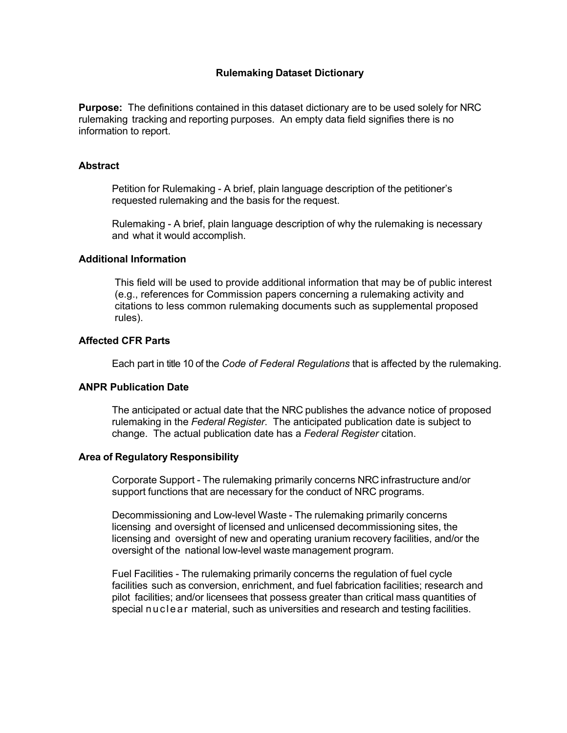## **Rulemaking Dataset Dictionary**

**Purpose:** The definitions contained in this dataset dictionary are to be used solely for NRC rulemaking tracking and reporting purposes. An empty data field signifies there is no information to report.

## **Abstract**

Petition for Rulemaking - A brief, plain language description of the petitioner's requested rulemaking and the basis for the request.

Rulemaking - A brief, plain language description of why the rulemaking is necessary and what it would accomplish.

## **Additional Information**

This field will be used to provide additional information that may be of public interest (e.g., references for Commission papers concerning a rulemaking activity and citations to less common rulemaking documents such as supplemental proposed rules).

## **Affected CFR Parts**

Each part in title 10 of the *Code of Federal Regulations* that is affected by the rulemaking.

## **ANPR Publication Date**

The anticipated or actual date that the NRC publishes the advance notice of proposed rulemaking in the *Federal Register*. The anticipated publication date is subject to change. The actual publication date has a *Federal Register* citation.

## **Area of Regulatory Responsibility**

Corporate Support - The rulemaking primarily concerns NRC infrastructure and/or support functions that are necessary for the conduct of NRC programs.

Decommissioning and Low-level Waste - The rulemaking primarily concerns licensing and oversight of licensed and unlicensed decommissioning sites, the licensing and oversight of new and operating uranium recovery facilities, and/or the oversight of the national low-level waste management program.

Fuel Facilities - The rulemaking primarily concerns the regulation of fuel cycle facilities such as conversion, enrichment, and fuel fabrication facilities; research and pilot facilities; and/or licensees that possess greater than critical mass quantities of special nuclear material, such as universities and research and testing facilities.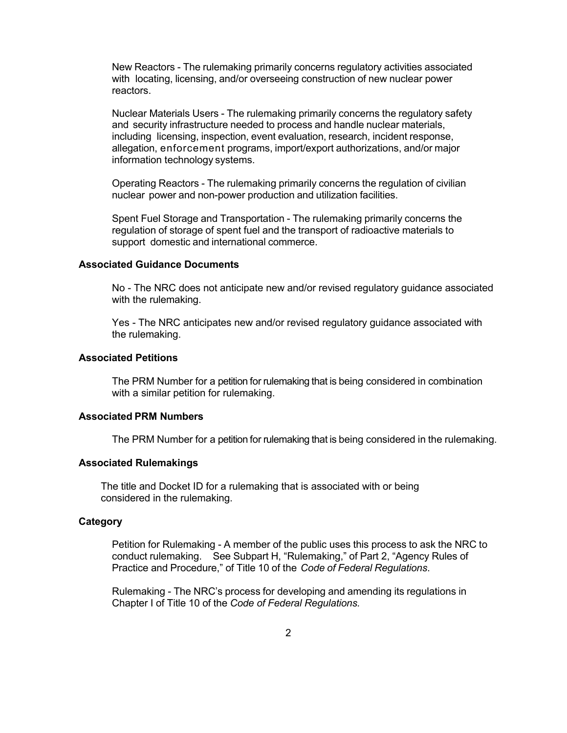New Reactors - The rulemaking primarily concerns regulatory activities associated with locating, licensing, and/or overseeing construction of new nuclear power reactors.

Nuclear Materials Users - The rulemaking primarily concerns the regulatory safety and security infrastructure needed to process and handle nuclear materials, including licensing, inspection, event evaluation, research, incident response, allegation, enforcement programs, import/export authorizations, and/or major information technology systems.

Operating Reactors - The rulemaking primarily concerns the regulation of civilian nuclear power and non-power production and utilization facilities.

Spent Fuel Storage and Transportation - The rulemaking primarily concerns the regulation of storage of spent fuel and the transport of radioactive materials to support domestic and international commerce.

### **Associated Guidance Documents**

No - The NRC does not anticipate new and/or revised regulatory guidance associated with the rulemaking.

Yes - The NRC anticipates new and/or revised regulatory guidance associated with the rulemaking.

### **Associated Petitions**

The PRM Number for a petition for rulemaking that is being considered in combination with a similar petition for rulemaking.

### **Associated PRM Numbers**

The PRM Number for a petition for rulemaking that is being considered in the rulemaking.

## **Associated Rulemakings**

The title and Docket ID for a rulemaking that is associated with or being considered in the rulemaking.

#### **Category**

Petition for Rulemaking - A member of the public uses this process to ask the NRC to conduct rulemaking. See Subpart H, "Rulemaking," of Part 2, "Agency Rules of Practice and Procedure," of Title 10 of the *Code of Federal Regulations*.

Rulemaking - The NRC's process for developing and amending its regulations in Chapter I of Title 10 of the *Code of Federal Regulations.*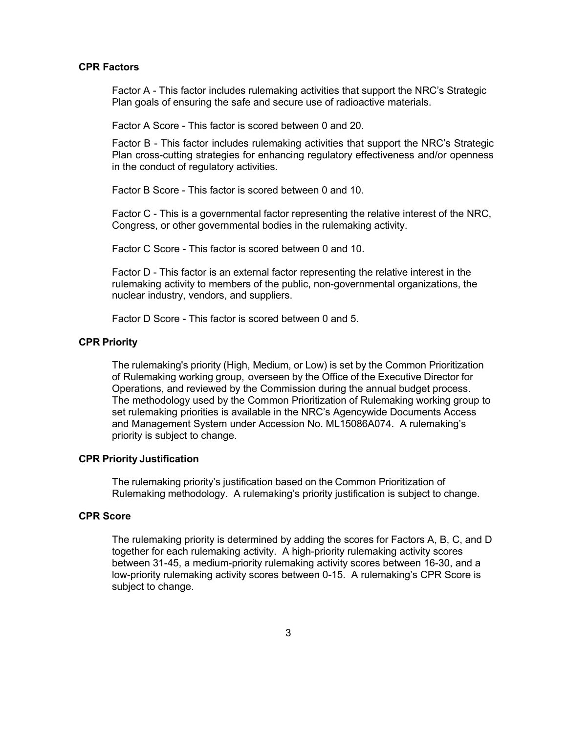### **CPR Factors**

Factor A - This factor includes rulemaking activities that support the NRC's Strategic Plan goals of ensuring the safe and secure use of radioactive materials.

Factor A Score - This factor is scored between 0 and 20.

Factor B - This factor includes rulemaking activities that support the NRC's Strategic Plan cross-cutting strategies for enhancing regulatory effectiveness and/or openness in the conduct of regulatory activities.

Factor B Score - This factor is scored between 0 and 10.

Factor C - This is a governmental factor representing the relative interest of the NRC, Congress, or other governmental bodies in the rulemaking activity.

Factor C Score - This factor is scored between 0 and 10.

Factor D - This factor is an external factor representing the relative interest in the rulemaking activity to members of the public, non-governmental organizations, the nuclear industry, vendors, and suppliers.

Factor D Score - This factor is scored between 0 and 5.

### **CPR Priority**

The rulemaking's priority (High, Medium, or Low) is set by the Common Prioritization of Rulemaking working group, overseen by the Office of the Executive Director for Operations, and reviewed by the Commission during the annual budget process. The methodology used by the Common Prioritization of Rulemaking working group to set rulemaking priorities is available in the NRC's Agencywide Documents Access and Management System under Accession No. ML15086A074. A rulemaking's priority is subject to change.

### **CPR Priority Justification**

The rulemaking priority's justification based on the Common Prioritization of Rulemaking methodology. A rulemaking's priority justification is subject to change.

## **CPR Score**

The rulemaking priority is determined by adding the scores for Factors A, B, C, and D together for each rulemaking activity. A high-priority rulemaking activity scores between 31-45, a medium-priority rulemaking activity scores between 16-30, and a low-priority rulemaking activity scores between 0-15. A rulemaking's CPR Score is subject to change.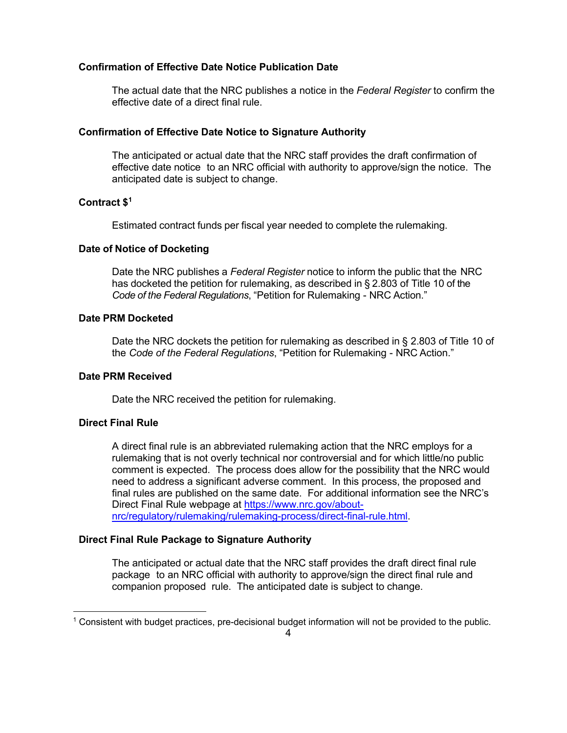## **Confirmation of Effective Date Notice Publication Date**

The actual date that the NRC publishes a notice in the *Federal Register* to confirm the effective date of a direct final rule.

## **Confirmation of Effective Date Notice to Signature Authority**

The anticipated or actual date that the NRC staff provides the draft confirmation of effective date notice to an NRC official with authority to approve/sign the notice. The anticipated date is subject to change.

## **Contract \$1**

Estimated contract funds per fiscal year needed to complete the rulemaking.

### **Date of Notice of Docketing**

Date the NRC publishes a *Federal Register* notice to inform the public that the NRC has docketed the petition for rulemaking, as described in § 2.803 of Title 10 of the *Code of the Federal Regulations*, "Petition for Rulemaking - NRC Action."

## **Date PRM Docketed**

Date the NRC dockets the petition for rulemaking as described in § 2.803 of Title 10 of the *Code of the Federal Regulations*, "Petition for Rulemaking - NRC Action."

### **Date PRM Received**

Date the NRC received the petition for rulemaking.

## **Direct Final Rule**

1

A direct final rule is an abbreviated rulemaking action that the NRC employs for a rulemaking that is not overly technical nor controversial and for which little/no public comment is expected. The process does allow for the possibility that the NRC would need to address a significant adverse comment. In this process, the proposed and final rules are published on the same date. For additional information see the NRC's Direct Final Rule webpage at https://www.nrc.gov/aboutnrc/regulatory/rulemaking/rulemaking-process/direct-final-rule.html.

## **Direct Final Rule Package to Signature Authority**

The anticipated or actual date that the NRC staff provides the draft direct final rule package to an NRC official with authority to approve/sign the direct final rule and companion proposed rule. The anticipated date is subject to change.

<sup>1</sup> Consistent with budget practices, pre-decisional budget information will not be provided to the public.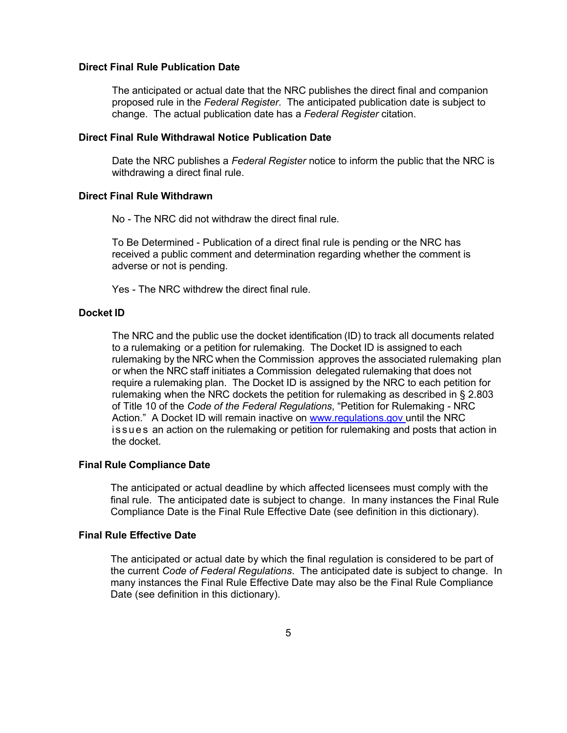#### **Direct Final Rule Publication Date**

The anticipated or actual date that the NRC publishes the direct final and companion proposed rule in the *Federal Register*. The anticipated publication date is subject to change. The actual publication date has a *Federal Register* citation.

### **Direct Final Rule Withdrawal Notice Publication Date**

Date the NRC publishes a *Federal Register* notice to inform the public that the NRC is withdrawing a direct final rule.

### **Direct Final Rule Withdrawn**

No - The NRC did not withdraw the direct final rule.

To Be Determined - Publication of a direct final rule is pending or the NRC has received a public comment and determination regarding whether the comment is adverse or not is pending.

Yes - The NRC withdrew the direct final rule.

#### **Docket ID**

The NRC and the public use the docket identification (ID) to track all documents related to a rulemaking or a petition for rulemaking. The Docket ID is assigned to each rulemaking by the NRC when the Commission approves the associated rulemaking plan or when the NRC staff initiates a Commission delegated rulemaking that does not require a rulemaking plan. The Docket ID is assigned by the NRC to each petition for rulemaking when the NRC dockets the petition for rulemaking as described in § 2.803 of Title 10 of the *Code of the Federal Regulations*, "Petition for Rulemaking - NRC Action." A Docket ID will remain inactive on www.regulations.gov until the NRC is sues an action on the rulemaking or petition for rulemaking and posts that action in the docket.

## **Final Rule Compliance Date**

The anticipated or actual deadline by which affected licensees must comply with the final rule. The anticipated date is subject to change. In many instances the Final Rule Compliance Date is the Final Rule Effective Date (see definition in this dictionary).

## **Final Rule Effective Date**

The anticipated or actual date by which the final regulation is considered to be part of the current *Code of Federal Regulations*. The anticipated date is subject to change. In many instances the Final Rule Effective Date may also be the Final Rule Compliance Date (see definition in this dictionary).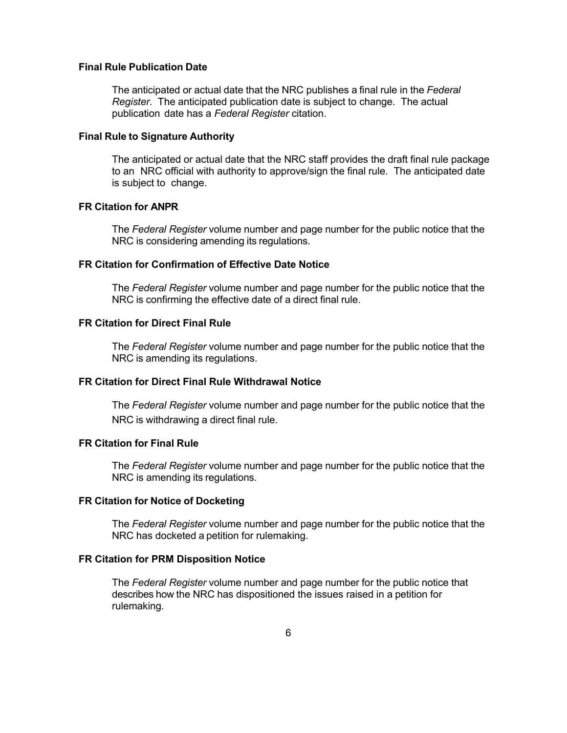### **Final Rule Publication Date**

The anticipated or actual date that the NRC publishes a final rule in the *Federal Register*. The anticipated publication date is subject to change. The actual publication date has a *Federal Register* citation.

## **Final Rule to Signature Authority**

The anticipated or actual date that the NRC staff provides the draft final rule package to an NRC official with authority to approve/sign the final rule. The anticipated date is subject to change.

#### **FR Citation for ANPR**

The *Federal Register* volume number and page number for the public notice that the NRC is considering amending its regulations.

## **FR Citation for Confirmation of Effective Date Notice**

The *Federal Register* volume number and page number for the public notice that the NRC is confirming the effective date of a direct final rule.

## **FR Citation for Direct Final Rule**

The *Federal Register* volume number and page number for the public notice that the NRC is amending its regulations.

### **FR Citation for Direct Final Rule Withdrawal Notice**

The *Federal Register* volume number and page number for the public notice that the NRC is withdrawing a direct final rule.

## **FR Citation for Final Rule**

The *Federal Register* volume number and page number for the public notice that the NRC is amending its regulations.

### **FR Citation for Notice of Docketing**

The *Federal Register* volume number and page number for the public notice that the NRC has docketed a petition for rulemaking.

## **FR Citation for PRM Disposition Notice**

The *Federal Register* volume number and page number for the public notice that describes how the NRC has dispositioned the issues raised in a petition for rulemaking.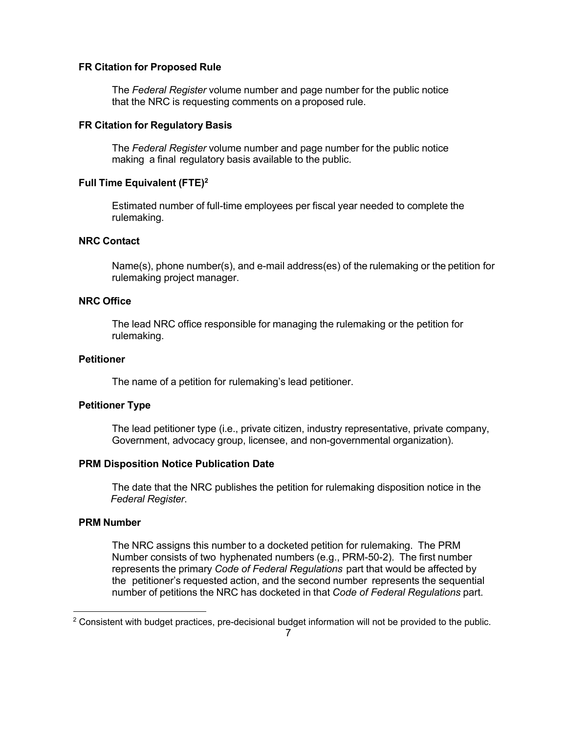### **FR Citation for Proposed Rule**

The *Federal Register* volume number and page number for the public notice that the NRC is requesting comments on a proposed rule.

### **FR Citation for Regulatory Basis**

The *Federal Register* volume number and page number for the public notice making a final regulatory basis available to the public.

## **Full Time Equivalent (FTE)2**

Estimated number of full-time employees per fiscal year needed to complete the rulemaking.

# **NRC Contact**

Name(s), phone number(s), and e-mail address(es) of the rulemaking or the petition for rulemaking project manager.

## **NRC Office**

The lead NRC office responsible for managing the rulemaking or the petition for rulemaking.

## **Petitioner**

The name of a petition for rulemaking's lead petitioner.

## **Petitioner Type**

The lead petitioner type (i.e., private citizen, industry representative, private company, Government, advocacy group, licensee, and non-governmental organization).

## **PRM Disposition Notice Publication Date**

The date that the NRC publishes the petition for rulemaking disposition notice in the *Federal Register*.

#### **PRM Number**

1

The NRC assigns this number to a docketed petition for rulemaking. The PRM Number consists of two hyphenated numbers (e.g., PRM-50-2). The first number represents the primary *Code of Federal Regulations* part that would be affected by the petitioner's requested action, and the second number represents the sequential number of petitions the NRC has docketed in that *Code of Federal Regulations* part.

<sup>&</sup>lt;sup>2</sup> Consistent with budget practices, pre-decisional budget information will not be provided to the public.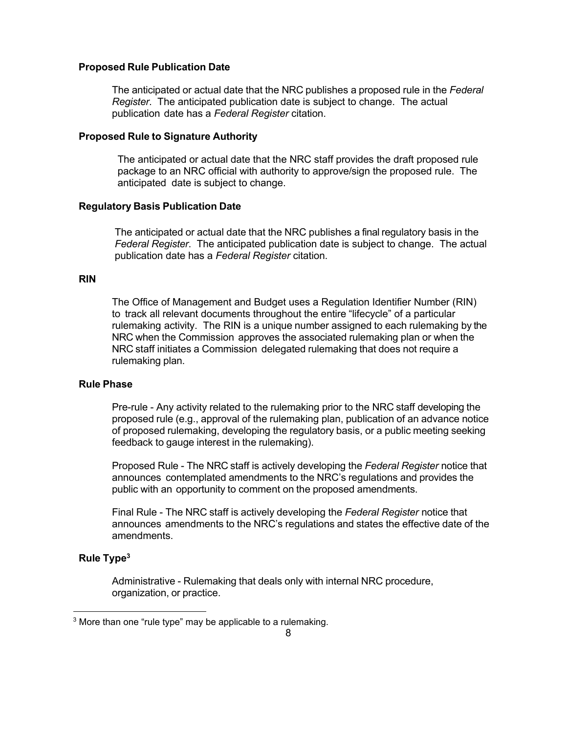### **Proposed Rule Publication Date**

The anticipated or actual date that the NRC publishes a proposed rule in the *Federal Register*. The anticipated publication date is subject to change. The actual publication date has a *Federal Register* citation.

#### **Proposed Rule to Signature Authority**

The anticipated or actual date that the NRC staff provides the draft proposed rule package to an NRC official with authority to approve/sign the proposed rule. The anticipated date is subject to change.

#### **Regulatory Basis Publication Date**

The anticipated or actual date that the NRC publishes a final regulatory basis in the *Federal Register*. The anticipated publication date is subject to change. The actual publication date has a *Federal Register* citation.

#### **RIN**

The Office of Management and Budget uses a Regulation Identifier Number (RIN) to track all relevant documents throughout the entire "lifecycle" of a particular rulemaking activity. The RIN is a unique number assigned to each rulemaking by the NRC when the Commission approves the associated rulemaking plan or when the NRC staff initiates a Commission delegated rulemaking that does not require a rulemaking plan.

## **Rule Phase**

Pre-rule - Any activity related to the rulemaking prior to the NRC staff developing the proposed rule (e.g., approval of the rulemaking plan, publication of an advance notice of proposed rulemaking, developing the regulatory basis, or a public meeting seeking feedback to gauge interest in the rulemaking).

Proposed Rule - The NRC staff is actively developing the *Federal Register* notice that announces contemplated amendments to the NRC's regulations and provides the public with an opportunity to comment on the proposed amendments.

Final Rule - The NRC staff is actively developing the *Federal Register* notice that announces amendments to the NRC's regulations and states the effective date of the amendments.

### **Rule Type3**

1

Administrative - Rulemaking that deals only with internal NRC procedure, organization, or practice.

<sup>&</sup>lt;sup>3</sup> More than one "rule type" may be applicable to a rulemaking.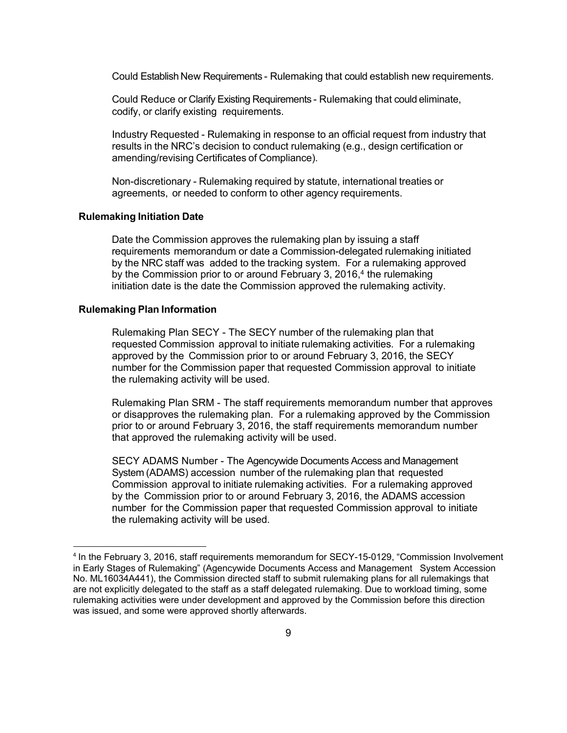Could Establish New Requirements - Rulemaking that could establish new requirements.

Could Reduce or Clarify Existing Requirements - Rulemaking that could eliminate, codify, or clarify existing requirements.

Industry Requested - Rulemaking in response to an official request from industry that results in the NRC's decision to conduct rulemaking (e.g., design certification or amending/revising Certificates of Compliance).

Non-discretionary - Rulemaking required by statute, international treaties or agreements, or needed to conform to other agency requirements.

#### **Rulemaking Initiation Date**

Date the Commission approves the rulemaking plan by issuing a staff requirements memorandum or date a Commission-delegated rulemaking initiated by the NRC staff was added to the tracking system. For a rulemaking approved by the Commission prior to or around February 3, 2016,<sup>4</sup> the rulemaking initiation date is the date the Commission approved the rulemaking activity.

#### **Rulemaking Plan Information**

**.** 

Rulemaking Plan SECY - The SECY number of the rulemaking plan that requested Commission approval to initiate rulemaking activities. For a rulemaking approved by the Commission prior to or around February 3, 2016, the SECY number for the Commission paper that requested Commission approval to initiate the rulemaking activity will be used.

Rulemaking Plan SRM - The staff requirements memorandum number that approves or disapproves the rulemaking plan. For a rulemaking approved by the Commission prior to or around February 3, 2016, the staff requirements memorandum number that approved the rulemaking activity will be used.

SECY ADAMS Number - The Agencywide Documents Access and Management System (ADAMS) accession number of the rulemaking plan that requested Commission approval to initiate rulemaking activities. For a rulemaking approved by the Commission prior to or around February 3, 2016, the ADAMS accession number for the Commission paper that requested Commission approval to initiate the rulemaking activity will be used.

<sup>4</sup> In the February 3, 2016, staff requirements memorandum for SECY-15-0129, "Commission Involvement in Early Stages of Rulemaking" (Agencywide Documents Access and Management System Accession No. ML16034A441), the Commission directed staff to submit rulemaking plans for all rulemakings that are not explicitly delegated to the staff as a staff delegated rulemaking. Due to workload timing, some rulemaking activities were under development and approved by the Commission before this direction was issued, and some were approved shortly afterwards.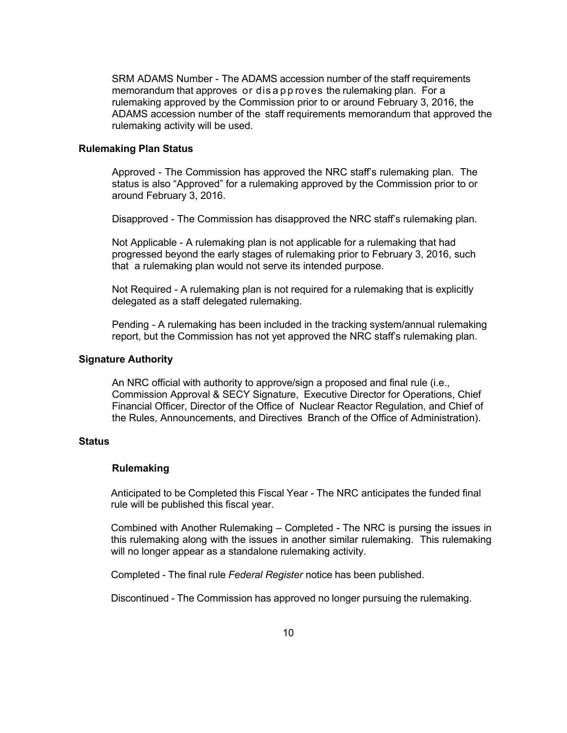SRM ADAMS Number - The ADAMS accession number of the staff requirements memorandum that approves or dis a p p roves the rulemaking plan. For a rulemaking approved by the Commission prior to or around February 3, 2016, the ADAMS accession number of the staff requirements memorandum that approved the rulemaking activity will be used.

## **Rulemaking Plan Status**

Approved - The Commission has approved the NRC staff's rulemaking plan. The status is also "Approved" for a rulemaking approved by the Commission prior to or around February 3, 2016.

Disapproved - The Commission has disapproved the NRC staff's rulemaking plan.

Not Applicable - A rulemaking plan is not applicable for a rulemaking that had progressed beyond the early stages of rulemaking prior to February 3, 2016, such that a rulemaking plan would not serve its intended purpose.

Not Required - A rulemaking plan is not required for a rulemaking that is explicitly delegated as a staff delegated rulemaking.

Pending - A rulemaking has been included in the tracking system/annual rulemaking report, but the Commission has not yet approved the NRC staff's rulemaking plan.

### **Signature Authority**

An NRC official with authority to approve/sign a proposed and final rule (i.e., Commission Approval & SECY Signature, Executive Director for Operations, Chief Financial Officer, Director of the Office of Nuclear Reactor Regulation, and Chief of the Rules, Announcements, and Directives Branch of the Office of Administration).

#### **Status**

## **Rulemaking**

Anticipated to be Completed this Fiscal Year - The NRC anticipates the funded final rule will be published this fiscal year.

Combined with Another Rulemaking – Completed - The NRC is pursing the issues in this rulemaking along with the issues in another similar rulemaking. This rulemaking will no longer appear as a standalone rulemaking activity.

Completed - The final rule *Federal Register* notice has been published.

Discontinued - The Commission has approved no longer pursuing the rulemaking.